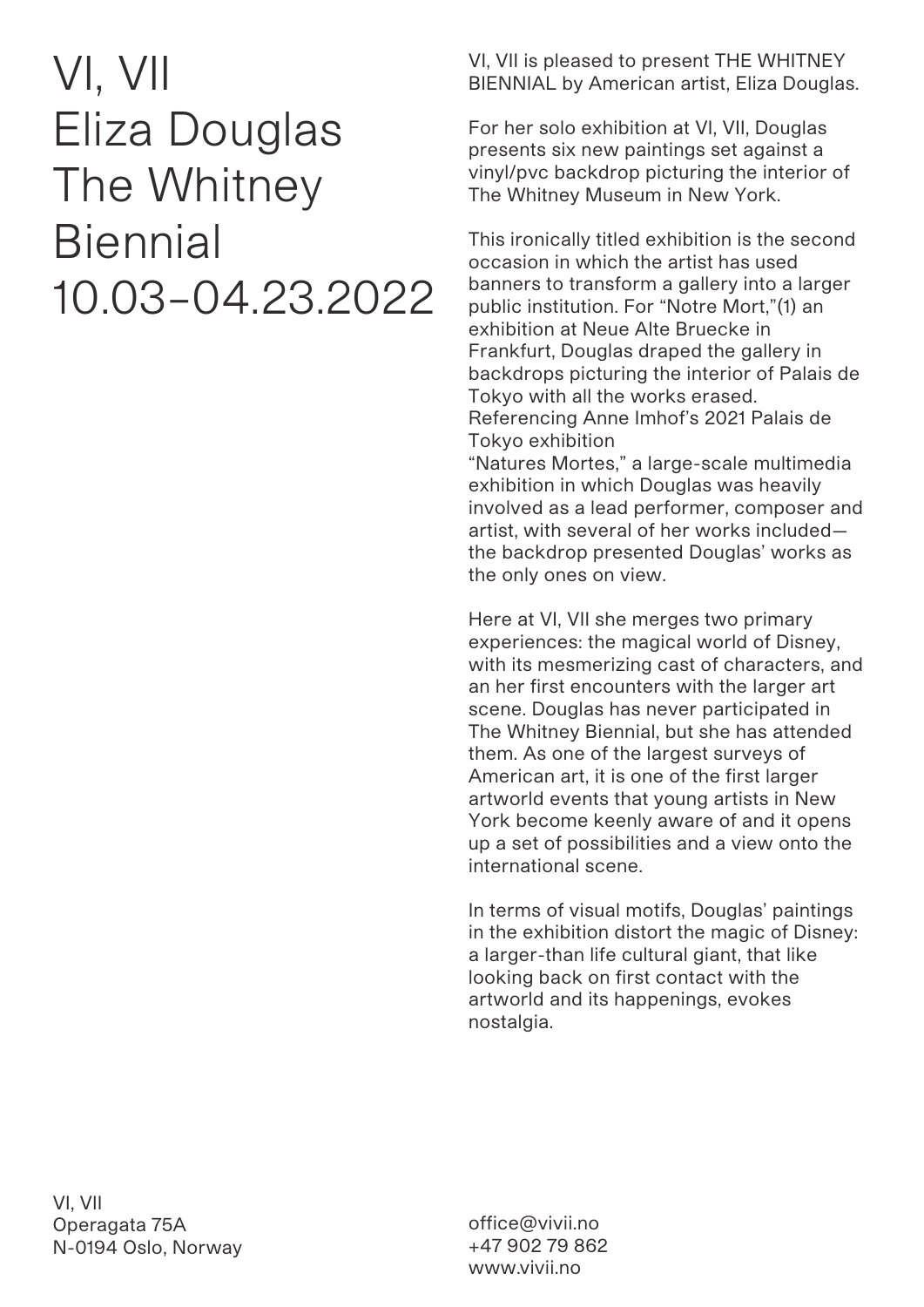## VI, VII Eliza Douglas The Whitney **Biennial** 10.03–04.23.2022

VI, VII is pleased to present THE WHITNEY BIENNIAL by American artist, Eliza Douglas.

For her solo exhibition at VI, VII, Douglas presents six new paintings set against a vinyl/pvc backdrop picturing the interior of The Whitney Museum in New York.

This ironically titled exhibition is the second occasion in which the artist has used banners to transform a gallery into a larger public institution. For "Notre Mort,"(1) an exhibition at Neue Alte Bruecke in Frankfurt, Douglas draped the gallery in backdrops picturing the interior of Palais de Tokyo with all the works erased. Referencing Anne Imhof's 2021 Palais de Tokyo exhibition

"Natures Mortes," a large-scale multimedia exhibition in which Douglas was heavily involved as a lead performer, composer and artist, with several of her works included the backdrop presented Douglas' works as the only ones on view.

Here at VI, VII she merges two primary experiences: the magical world of Disney, with its mesmerizing cast of characters, and an her first encounters with the larger art scene. Douglas has never participated in The Whitney Biennial, but she has attended them. As one of the largest surveys of American art, it is one of the first larger artworld events that young artists in New York become keenly aware of and it opens up a set of possibilities and a view onto the international scene.

In terms of visual motifs, Douglas' paintings in the exhibition distort the magic of Disney: a larger-than life cultural giant, that like looking back on first contact with the artworld and its happenings, evokes nostalgia.

VI, VII Operagata 75A N-0194 Oslo, Norway

office@vivii.no +47 902 79 862 www.vivii.no